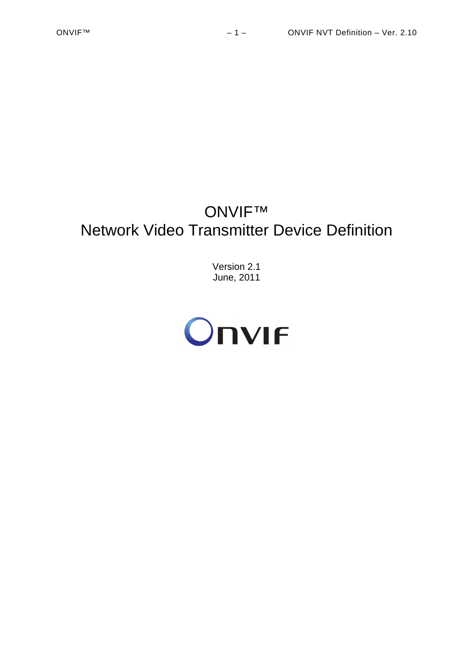# ONVIF™ Network Video Transmitter Device Definition

Version 2.1 June, 2011

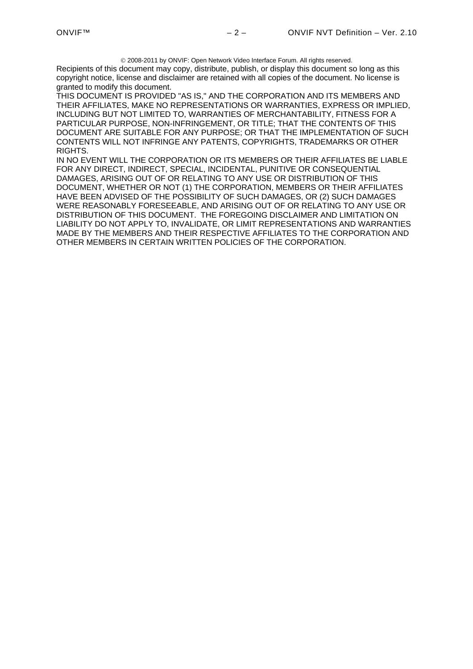2008-2011 by ONVIF: Open Network Video Interface Forum. All rights reserved.

Recipients of this document may copy, distribute, publish, or display this document so long as this copyright notice, license and disclaimer are retained with all copies of the document. No license is granted to modify this document.

THIS DOCUMENT IS PROVIDED "AS IS," AND THE CORPORATION AND ITS MEMBERS AND THEIR AFFILIATES, MAKE NO REPRESENTATIONS OR WARRANTIES, EXPRESS OR IMPLIED, INCLUDING BUT NOT LIMITED TO, WARRANTIES OF MERCHANTABILITY, FITNESS FOR A PARTICULAR PURPOSE, NON-INFRINGEMENT, OR TITLE; THAT THE CONTENTS OF THIS DOCUMENT ARE SUITABLE FOR ANY PURPOSE; OR THAT THE IMPLEMENTATION OF SUCH CONTENTS WILL NOT INFRINGE ANY PATENTS, COPYRIGHTS, TRADEMARKS OR OTHER RIGHTS.

IN NO EVENT WILL THE CORPORATION OR ITS MEMBERS OR THEIR AFFILIATES BE LIABLE FOR ANY DIRECT, INDIRECT, SPECIAL, INCIDENTAL, PUNITIVE OR CONSEQUENTIAL DAMAGES, ARISING OUT OF OR RELATING TO ANY USE OR DISTRIBUTION OF THIS DOCUMENT, WHETHER OR NOT (1) THE CORPORATION, MEMBERS OR THEIR AFFILIATES HAVE BEEN ADVISED OF THE POSSIBILITY OF SUCH DAMAGES, OR (2) SUCH DAMAGES WERE REASONABLY FORESEEABLE, AND ARISING OUT OF OR RELATING TO ANY USE OR DISTRIBUTION OF THIS DOCUMENT. THE FOREGOING DISCLAIMER AND LIMITATION ON LIABILITY DO NOT APPLY TO, INVALIDATE, OR LIMIT REPRESENTATIONS AND WARRANTIES MADE BY THE MEMBERS AND THEIR RESPECTIVE AFFILIATES TO THE CORPORATION AND OTHER MEMBERS IN CERTAIN WRITTEN POLICIES OF THE CORPORATION.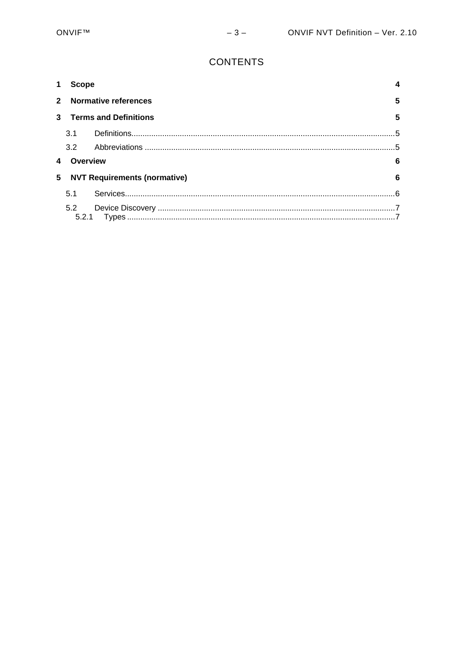# **CONTENTS**

|     |                                          | <b>Scope</b>                     |   |
|-----|------------------------------------------|----------------------------------|---|
|     |                                          | <b>Normative references</b><br>5 |   |
| 3   | <b>Terms and Definitions</b>             |                                  | 5 |
|     | 3.1                                      |                                  |   |
|     | 3.2                                      |                                  |   |
|     | Overview<br>6                            |                                  |   |
| 5   | <b>NVT Requirements (normative)</b><br>6 |                                  |   |
|     | 5.1                                      |                                  |   |
| 5.2 |                                          |                                  |   |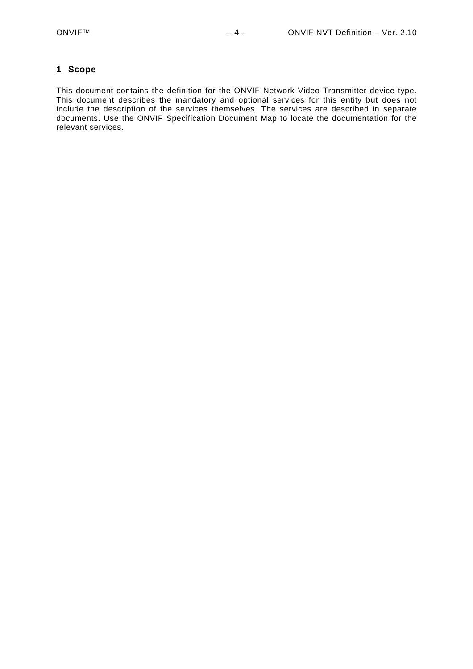#### <span id="page-3-0"></span>**1 Scope**

This document contains the definition for the ONVIF Network Video Transmitter device type. This document describes the mandatory and optional services for this entity but does not include the description of the services themselves. The services are described in separate documents. Use the ONVIF Specification Document Map to locate the documentation for the relevant services.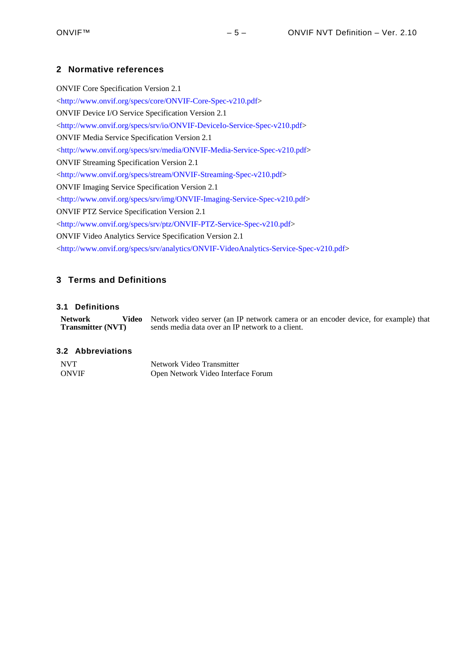# <span id="page-4-0"></span>**2 Normative references**

ONVIF Core Specification Version 2.1 <<http://www.onvif.org/specs/core/ONVIF-Core-Spec-v210.pdf>> ONVIF Device I/O Service Specification Version 2.1 <<http://www.onvif.org/specs/srv/io/ONVIF-DeviceIo-Service-Spec-v210.pdf>> ONVIF Media Service Specification Version 2.1 <[http://www.onvif.org/specs/srv/media/ONVIF-Media-Service-Spec-v210.pdf>](http://www.onvif.org/specs/srv/media/ONVIF-Media-Service-Spec-v210.pdf) ONVIF Streaming Specification Version 2.1 <<http://www.onvif.org/specs/stream/ONVIF-Streaming-Spec-v210.pdf>> ONVIF Imaging Service Specification Version 2.1 <[http://www.onvif.org/specs/srv/img/ONVIF-Imaging-Service-Spec-v210.pdf>](http://www.onvif.org/specs/srv/img/ONVIF-Imaging-Service-Spec-v210.pdf) ONVIF PTZ Service Specification Version 2.1 <[http://www.onvif.org/specs/srv/ptz/ONVIF-PTZ-Service-Spec-v210.pdf>](http://www.onvif.org/specs/srv/ptz/ONVIF-PTZ-Service-Spec-v210.pdf) ONVIF Video Analytics Service Specification Version 2.1 <[http://www.onvif.org/specs/srv/analytics/ONVIF-VideoAnalytics-Service-Spec-v210.pdf>](http://www.onvif.org/specs/srv/analytics/ONVIF-VideoAnalytics-Service-Spec-v210.pdf)

# <span id="page-4-1"></span>**3 Terms and Definitions**

## <span id="page-4-2"></span>**3.1 Definitions**

**Network Transmitter (NVT)**  Video Network video server (an IP network camera or an encoder device, for example) that sends media data over an IP network to a client.

#### <span id="page-4-3"></span>**3.2 Abbreviations**

| <b>NVT</b>   | Network Video Transmitter          |
|--------------|------------------------------------|
| <b>ONVIF</b> | Open Network Video Interface Forum |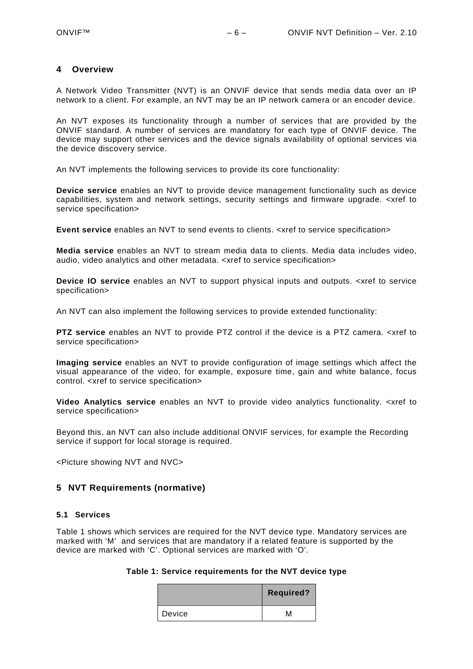#### <span id="page-5-0"></span>**4 Overview**

A Network Video Transmitter (NVT) is an ONVIF device that sends media data over an IP network to a client. For example, an NVT may be an IP network camera or an encoder device.

An NVT exposes its functionality through a number of services that are provided by the ONVIF standard. A number of services are mandatory for each type of ONVIF device. The device may support other services and the device signals availability of optional services via the device discovery service.

An NVT implements the following services to provide its core functionality:

**Device service** enables an NVT to provide device management functionality such as device capabilities, system and network settings, security settings and firmware upgrade. <xref to service specification>

**Event service** enables an NVT to send events to clients. <xref to service specification>

**Media service** enables an NVT to stream media data to clients. Media data includes video, audio, video analytics and other metadata. <xref to service specification>

**Device IO service** enables an NVT to support physical inputs and outputs. <xref to service specification>

An NVT can also implement the following services to provide extended functionality:

**PTZ service** enables an NVT to provide PTZ control if the device is a PTZ camera. <xref to service specification>

**Imaging service** enables an NVT to provide configuration of image settings which affect the visual appearance of the video, for example, exposure time, gain and white balance, focus control. <xref to service specification>

**Video Analytics service** enables an NVT to provide video analytics functionality. <xref to service specification>

Beyond this, an NVT can also include additional ONVIF services, for example the Recording service if support for local storage is required.

<Picture showing NVT and NVC>

## <span id="page-5-1"></span>**5 NVT Requirements (normative)**

#### <span id="page-5-2"></span>**5.1 Services**

<span id="page-5-3"></span>[Table 1](#page-5-3) shows which services are required for the NVT device type. Mandatory services are marked with 'M' and services that are mandatory if a related feature is supported by the device are marked with 'C'. Optional services are marked with 'O'.

#### **Table 1: Service requirements for the NVT device type**

|        | <b>Required?</b> |
|--------|------------------|
| Device | M                |